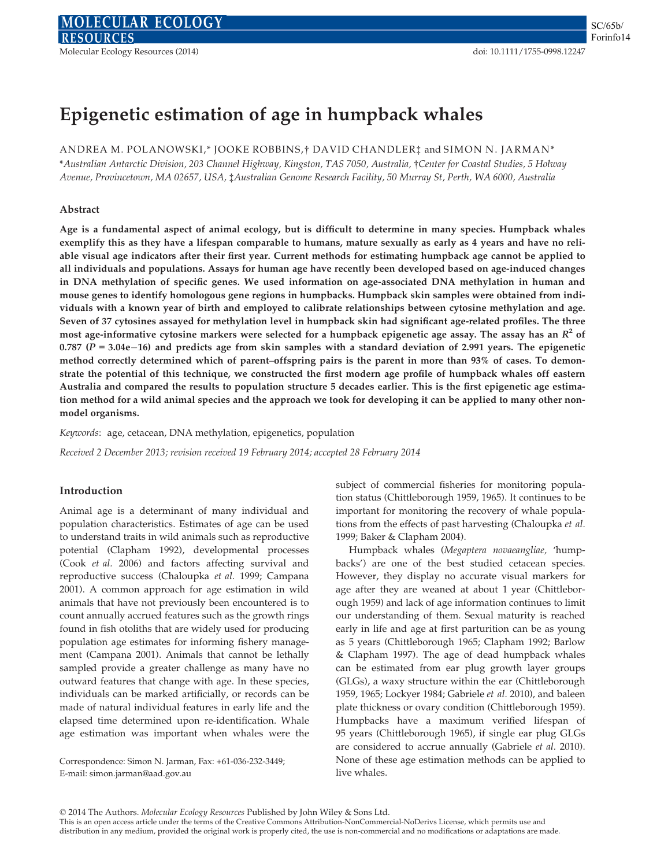# Epigenetic estimation of age in humpback whales

ANDREA M. POLANOWSKI,\* JOOKE ROBBINS,† DAVID CHANDLER‡ and SIMON N. JARMAN\*

\*Australian Antarctic Division, 203 Channel Highway, Kingston, TAS 7050, Australia, †Center for Coastal Studies, 5 Holway Avenue, Provincetown, MA 02657, USA, ‡Australian Genome Research Facility, 50 Murray St, Perth, WA 6000, Australia

#### Abstract

Age is a fundamental aspect of animal ecology, but is difficult to determine in many species. Humpback whales exemplify this as they have a lifespan comparable to humans, mature sexually as early as 4 years and have no reliable visual age indicators after their first year. Current methods for estimating humpback age cannot be applied to all individuals and populations. Assays for human age have recently been developed based on age-induced changes in DNA methylation of specific genes. We used information on age-associated DNA methylation in human and mouse genes to identify homologous gene regions in humpbacks. Humpback skin samples were obtained from individuals with a known year of birth and employed to calibrate relationships between cytosine methylation and age. Seven of 37 cytosines assayed for methylation level in humpback skin had significant age-related profiles. The three most age-informative cytosine markers were selected for a humpback epigenetic age assay. The assay has an  $R^2$  of 0.787 ( $P = 3.04e-16$ ) and predicts age from skin samples with a standard deviation of 2.991 years. The epigenetic method correctly determined which of parent–offspring pairs is the parent in more than 93% of cases. To demonstrate the potential of this technique, we constructed the first modern age profile of humpback whales off eastern Australia and compared the results to population structure 5 decades earlier. This is the first epigenetic age estimation method for a wild animal species and the approach we took for developing it can be applied to many other nonmodel organisms.

Keywords: age, cetacean, DNA methylation, epigenetics, population

Received 2 December 2013; revision received 19 February 2014; accepted 28 February 2014

### Introduction

Animal age is a determinant of many individual and population characteristics. Estimates of age can be used to understand traits in wild animals such as reproductive potential (Clapham 1992), developmental processes (Cook et al. 2006) and factors affecting survival and reproductive success (Chaloupka et al. 1999; Campana 2001). A common approach for age estimation in wild animals that have not previously been encountered is to count annually accrued features such as the growth rings found in fish otoliths that are widely used for producing population age estimates for informing fishery management (Campana 2001). Animals that cannot be lethally sampled provide a greater challenge as many have no outward features that change with age. In these species, individuals can be marked artificially, or records can be made of natural individual features in early life and the elapsed time determined upon re-identification. Whale age estimation was important when whales were the

Correspondence: Simon N. Jarman, Fax: +61-036-232-3449; E-mail: simon.jarman@aad.gov.au

subject of commercial fisheries for monitoring population status (Chittleborough 1959, 1965). It continues to be important for monitoring the recovery of whale populations from the effects of past harvesting (Chaloupka et al. 1999; Baker & Clapham 2004).

Humpback whales (Megaptera novaeangliae, 'humpbacks') are one of the best studied cetacean species. However, they display no accurate visual markers for age after they are weaned at about 1 year (Chittleborough 1959) and lack of age information continues to limit our understanding of them. Sexual maturity is reached early in life and age at first parturition can be as young as 5 years (Chittleborough 1965; Clapham 1992; Barlow & Clapham 1997). The age of dead humpback whales can be estimated from ear plug growth layer groups (GLGs), a waxy structure within the ear (Chittleborough 1959, 1965; Lockyer 1984; Gabriele et al. 2010), and baleen plate thickness or ovary condition (Chittleborough 1959). Humpbacks have a maximum verified lifespan of 95 years (Chittleborough 1965), if single ear plug GLGs are considered to accrue annually (Gabriele et al. 2010). None of these age estimation methods can be applied to live whales.

This is an open access article under the terms of the Creative Commons Attribution-NonCommercial-NoDerivs License, which permits use and distribution in any medium, provided the original work is properly cited, the use is non-commercial and no modifications or adaptations are made.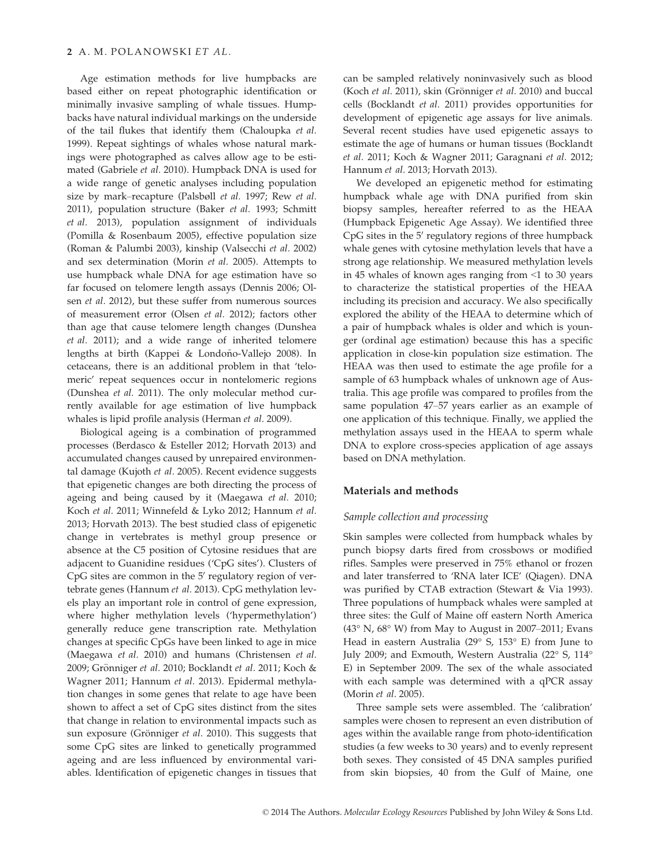Age estimation methods for live humpbacks are based either on repeat photographic identification or minimally invasive sampling of whale tissues. Humpbacks have natural individual markings on the underside of the tail flukes that identify them (Chaloupka et al. 1999). Repeat sightings of whales whose natural markings were photographed as calves allow age to be estimated (Gabriele et al. 2010). Humpback DNA is used for a wide range of genetic analyses including population size by mark–recapture (Palsbøll et al. 1997; Rew et al. 2011), population structure (Baker et al. 1993; Schmitt et al. 2013), population assignment of individuals (Pomilla & Rosenbaum 2005), effective population size (Roman & Palumbi 2003), kinship (Valsecchi et al. 2002) and sex determination (Morin et al. 2005). Attempts to use humpback whale DNA for age estimation have so far focused on telomere length assays (Dennis 2006; Olsen et al. 2012), but these suffer from numerous sources of measurement error (Olsen et al. 2012); factors other than age that cause telomere length changes (Dunshea et al. 2011); and a wide range of inherited telomere lengths at birth (Kappei & Londono-Vallejo 2008). In ~ cetaceans, there is an additional problem in that 'telomeric' repeat sequences occur in nontelomeric regions (Dunshea et al. 2011). The only molecular method currently available for age estimation of live humpback whales is lipid profile analysis (Herman et al. 2009).

Biological ageing is a combination of programmed processes (Berdasco & Esteller 2012; Horvath 2013) and accumulated changes caused by unrepaired environmental damage (Kujoth et al. 2005). Recent evidence suggests that epigenetic changes are both directing the process of ageing and being caused by it (Maegawa et al. 2010; Koch et al. 2011; Winnefeld & Lyko 2012; Hannum et al. 2013; Horvath 2013). The best studied class of epigenetic change in vertebrates is methyl group presence or absence at the C5 position of Cytosine residues that are adjacent to Guanidine residues ('CpG sites'). Clusters of CpG sites are common in the  $5'$  regulatory region of vertebrate genes (Hannum et al. 2013). CpG methylation levels play an important role in control of gene expression, where higher methylation levels ('hypermethylation') generally reduce gene transcription rate. Methylation changes at specific CpGs have been linked to age in mice (Maegawa et al. 2010) and humans (Christensen et al. 2009; Grönniger et al. 2010; Bocklandt et al. 2011; Koch & Wagner 2011; Hannum et al. 2013). Epidermal methylation changes in some genes that relate to age have been shown to affect a set of CpG sites distinct from the sites that change in relation to environmental impacts such as sun exposure (Grönniger et al. 2010). This suggests that some CpG sites are linked to genetically programmed ageing and are less influenced by environmental variables. Identification of epigenetic changes in tissues that

can be sampled relatively noninvasively such as blood (Koch et al. 2011), skin (Grönniger et al. 2010) and buccal cells (Bocklandt et al. 2011) provides opportunities for development of epigenetic age assays for live animals. Several recent studies have used epigenetic assays to estimate the age of humans or human tissues (Bocklandt et al. 2011; Koch & Wagner 2011; Garagnani et al. 2012; Hannum et al. 2013; Horvath 2013).

We developed an epigenetic method for estimating humpback whale age with DNA purified from skin biopsy samples, hereafter referred to as the HEAA (Humpback Epigenetic Age Assay). We identified three  $CpG$  sites in the  $5'$  regulatory regions of three humpback whale genes with cytosine methylation levels that have a strong age relationship. We measured methylation levels in 45 whales of known ages ranging from <1 to 30 years to characterize the statistical properties of the HEAA including its precision and accuracy. We also specifically explored the ability of the HEAA to determine which of a pair of humpback whales is older and which is younger (ordinal age estimation) because this has a specific application in close-kin population size estimation. The HEAA was then used to estimate the age profile for a sample of 63 humpback whales of unknown age of Australia. This age profile was compared to profiles from the same population 47–57 years earlier as an example of one application of this technique. Finally, we applied the methylation assays used in the HEAA to sperm whale DNA to explore cross-species application of age assays based on DNA methylation.

#### Materials and methods

#### Sample collection and processing

Skin samples were collected from humpback whales by punch biopsy darts fired from crossbows or modified rifles. Samples were preserved in 75% ethanol or frozen and later transferred to 'RNA later ICE' (Qiagen). DNA was purified by CTAB extraction (Stewart & Via 1993). Three populations of humpback whales were sampled at three sites: the Gulf of Maine off eastern North America (43° N, 68° W) from May to August in 2007–2011; Evans Head in eastern Australia (29° S, 153° E) from June to July 2009; and Exmouth, Western Australia (22° S, 114° E) in September 2009. The sex of the whale associated with each sample was determined with a qPCR assay (Morin et al. 2005).

Three sample sets were assembled. The 'calibration' samples were chosen to represent an even distribution of ages within the available range from photo-identification studies (a few weeks to 30 years) and to evenly represent both sexes. They consisted of 45 DNA samples purified from skin biopsies, 40 from the Gulf of Maine, one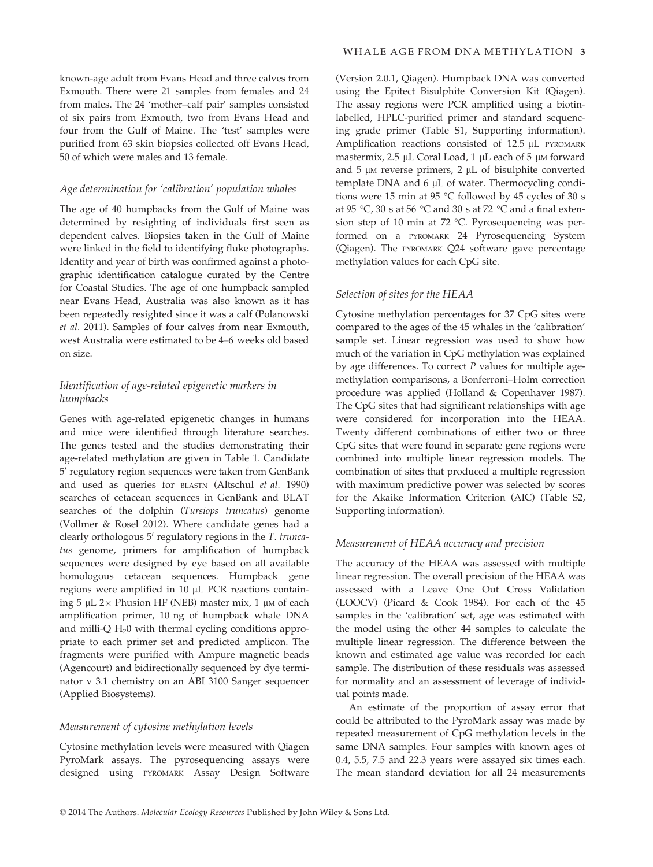known-age adult from Evans Head and three calves from Exmouth. There were 21 samples from females and 24 from males. The 24 'mother–calf pair' samples consisted of six pairs from Exmouth, two from Evans Head and four from the Gulf of Maine. The 'test' samples were purified from 63 skin biopsies collected off Evans Head, 50 of which were males and 13 female.

#### Age determination for 'calibration' population whales

The age of 40 humpbacks from the Gulf of Maine was determined by resighting of individuals first seen as dependent calves. Biopsies taken in the Gulf of Maine were linked in the field to identifying fluke photographs. Identity and year of birth was confirmed against a photographic identification catalogue curated by the Centre for Coastal Studies. The age of one humpback sampled near Evans Head, Australia was also known as it has been repeatedly resighted since it was a calf (Polanowski et al. 2011). Samples of four calves from near Exmouth, west Australia were estimated to be 4–6 weeks old based on size.

## Identification of age-related epigenetic markers in humpbacks

Genes with age-related epigenetic changes in humans and mice were identified through literature searches. The genes tested and the studies demonstrating their age-related methylation are given in Table 1. Candidate 5' regulatory region sequences were taken from GenBank and used as queries for BLASTN (Altschul et al. 1990) searches of cetacean sequences in GenBank and BLAT searches of the dolphin (Tursiops truncatus) genome (Vollmer & Rosel 2012). Where candidate genes had a clearly orthologous  $5'$  regulatory regions in the T. truncatus genome, primers for amplification of humpback sequences were designed by eye based on all available homologous cetacean sequences. Humpback gene regions were amplified in  $10 \mu L$  PCR reactions containing 5 µL 2 $\times$  Phusion HF (NEB) master mix, 1 µM of each amplification primer, 10 ng of humpback whale DNA and milli-Q  $H<sub>2</sub>0$  with thermal cycling conditions appropriate to each primer set and predicted amplicon. The fragments were purified with Ampure magnetic beads (Agencourt) and bidirectionally sequenced by dye terminator v 3.1 chemistry on an ABI 3100 Sanger sequencer (Applied Biosystems).

#### Measurement of cytosine methylation levels

Cytosine methylation levels were measured with Qiagen PyroMark assays. The pyrosequencing assays were designed using PYROMARK Assay Design Software (Version 2.0.1, Qiagen). Humpback DNA was converted using the Epitect Bisulphite Conversion Kit (Qiagen). The assay regions were PCR amplified using a biotinlabelled, HPLC-purified primer and standard sequencing grade primer (Table S1, Supporting information). Amplification reactions consisted of 12.5 µL PYROMARK mastermix,  $2.5 \mu L$  Coral Load, 1  $\mu L$  each of 5  $\mu$ M forward and  $5 \mu$ M reverse primers,  $2 \mu$ L of bisulphite converted template DNA and  $6 \mu L$  of water. Thermocycling conditions were 15 min at 95 °C followed by 45 cycles of 30 s at 95 °C, 30 s at 56 °C and 30 s at 72 °C and a final extension step of 10 min at 72 °C. Pyrosequencing was performed on a PYROMARK 24 Pyrosequencing System (Qiagen). The PYROMARK Q24 software gave percentage methylation values for each CpG site.

#### Selection of sites for the HEAA

Cytosine methylation percentages for 37 CpG sites were compared to the ages of the 45 whales in the 'calibration' sample set. Linear regression was used to show how much of the variation in CpG methylation was explained by age differences. To correct  $P$  values for multiple agemethylation comparisons, a Bonferroni–Holm correction procedure was applied (Holland & Copenhaver 1987). The CpG sites that had significant relationships with age were considered for incorporation into the HEAA. Twenty different combinations of either two or three CpG sites that were found in separate gene regions were combined into multiple linear regression models. The combination of sites that produced a multiple regression with maximum predictive power was selected by scores for the Akaike Information Criterion (AIC) (Table S2, Supporting information).

#### Measurement of HEAA accuracy and precision

The accuracy of the HEAA was assessed with multiple linear regression. The overall precision of the HEAA was assessed with a Leave One Out Cross Validation (LOOCV) (Picard & Cook 1984). For each of the 45 samples in the 'calibration' set, age was estimated with the model using the other 44 samples to calculate the multiple linear regression. The difference between the known and estimated age value was recorded for each sample. The distribution of these residuals was assessed for normality and an assessment of leverage of individual points made.

An estimate of the proportion of assay error that could be attributed to the PyroMark assay was made by repeated measurement of CpG methylation levels in the same DNA samples. Four samples with known ages of 0.4, 5.5, 7.5 and 22.3 years were assayed six times each. The mean standard deviation for all 24 measurements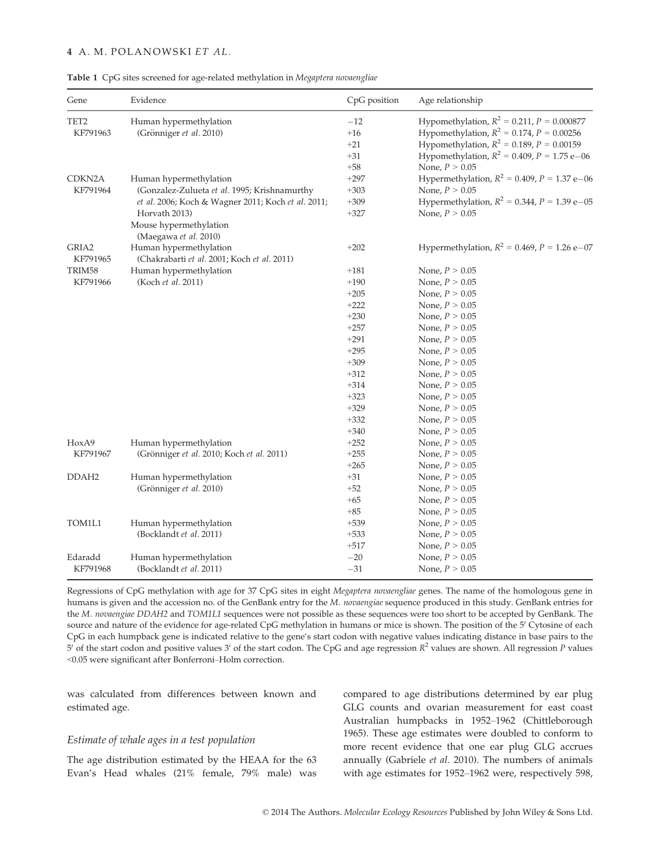#### 4 A. M. POLANOWSKI ET AL.

#### Table 1 CpG sites screened for age-related methylation in Megaptera novaengliae

| Gene                                   | Evidence                                           | CpG position    | Age relationship                                  |
|----------------------------------------|----------------------------------------------------|-----------------|---------------------------------------------------|
| TET <sub>2</sub>                       | Human hypermethylation                             | $-12$           | Hypomethylation, $R^2 = 0.211$ , $P = 0.000877$   |
| KF791963                               | (Grönniger et al. 2010)                            | $+16$           | Hypomethylation, $R^2 = 0.174$ , $P = 0.00256$    |
|                                        |                                                    | $+21$           | Hypomethylation, $R^2 = 0.189$ , $P = 0.00159$    |
|                                        |                                                    | $+31$           | Hypomethylation, $R^2 = 0.409$ , $P = 1.75$ e-06  |
|                                        |                                                    | $+58$           | None, $P > 0.05$                                  |
| CDKN2A<br>KF791964                     | Human hypermethylation                             | $+297$          | Hypermethylation, $R^2 = 0.409$ , $P = 1.37$ e-06 |
|                                        | (Gonzalez-Zulueta et al. 1995; Krishnamurthy       | $+303$          | None, $P > 0.05$                                  |
|                                        | et al. 2006; Koch & Wagner 2011; Koch et al. 2011; | $+309$          | Hypermethylation, $R^2 = 0.344$ , $P = 1.39$ e-05 |
|                                        | Horvath 2013)                                      | $+327$          | None, $P > 0.05$                                  |
|                                        | Mouse hypermethylation                             |                 |                                                   |
|                                        | (Maegawa et al. 2010)                              |                 |                                                   |
| GRIA2                                  | Human hypermethylation                             | $+202$          | Hypermethylation, $R^2 = 0.469$ , $P = 1.26$ e-07 |
| KF791965                               | (Chakrabarti et al. 2001; Koch et al. 2011)        |                 |                                                   |
| TRIM58<br>KF791966                     | Human hypermethylation                             | $+181$          | None, $P > 0.05$                                  |
|                                        | (Koch et al. 2011)                                 | $+190$          | None, $P > 0.05$                                  |
|                                        |                                                    | $+205$          | None, $P > 0.05$                                  |
|                                        |                                                    | $+222$          | None, $P > 0.05$                                  |
|                                        |                                                    | $+230$          | None, $P > 0.05$                                  |
|                                        |                                                    | $+257$          | None, $P > 0.05$                                  |
|                                        |                                                    | $+291$          | None, $P > 0.05$                                  |
|                                        |                                                    | $+295$          | None, $P > 0.05$                                  |
|                                        |                                                    | $+309$          | None, $P > 0.05$                                  |
|                                        |                                                    | $+312$          | None, $P > 0.05$                                  |
|                                        |                                                    | $+314$          | None, $P > 0.05$                                  |
|                                        |                                                    | $+323$          | None, $P > 0.05$                                  |
|                                        |                                                    | $+329$          | None, $P > 0.05$                                  |
|                                        |                                                    | $+332$          | None, $P > 0.05$                                  |
|                                        |                                                    | $+340$          | None, $P > 0.05$                                  |
| HoxA9<br>KF791967<br>DDAH <sub>2</sub> | Human hypermethylation                             | $+252$          | None, $P > 0.05$                                  |
|                                        | (Grönniger et al. 2010; Koch et al. 2011)          | $+255$          | None, $P > 0.05$                                  |
|                                        |                                                    | $+265$          | None, $P > 0.05$                                  |
|                                        | Human hypermethylation                             | $+31$           | None, $P > 0.05$                                  |
|                                        | (Grönniger et al. 2010)                            | $+52$           | None, $P > 0.05$                                  |
|                                        |                                                    | $+65$           | None, $P > 0.05$                                  |
| TOM1L1                                 |                                                    | $+85$<br>$+539$ | None, $P > 0.05$                                  |
|                                        | Human hypermethylation<br>(Bocklandt et al. 2011)  | $+533$          | None, $P > 0.05$<br>None, $P > 0.05$              |
|                                        |                                                    | $+517$          | None, $P > 0.05$                                  |
| Edaradd                                |                                                    | $-20$           | None, $P > 0.05$                                  |
| KF791968                               | Human hypermethylation<br>(Bocklandt et al. 2011)  | $-31$           |                                                   |
|                                        |                                                    |                 | None, $P > 0.05$                                  |

Regressions of CpG methylation with age for 37 CpG sites in eight Megaptera novaengliae genes. The name of the homologous gene in humans is given and the accession no. of the GenBank entry for the M. novaengiae sequence produced in this study. GenBank entries for the M. novaengiae DDAH2 and TOM1L1 sequences were not possible as these sequences were too short to be accepted by GenBank. The source and nature of the evidence for age-related CpG methylation in humans or mice is shown. The position of the 5' Cytosine of each CpG in each humpback gene is indicated relative to the gene's start codon with negative values indicating distance in base pairs to the 5' of the start codon and positive values 3' of the start codon. The CpG and age regression  $R^2$  values are shown. All regression P values <0.05 were significant after Bonferroni–Holm correction.

was calculated from differences between known and estimated age.

## Estimate of whale ages in a test population

The age distribution estimated by the HEAA for the 63 Evan's Head whales (21% female, 79% male) was compared to age distributions determined by ear plug GLG counts and ovarian measurement for east coast Australian humpbacks in 1952–1962 (Chittleborough 1965). These age estimates were doubled to conform to more recent evidence that one ear plug GLG accrues annually (Gabriele et al. 2010). The numbers of animals with age estimates for 1952–1962 were, respectively 598,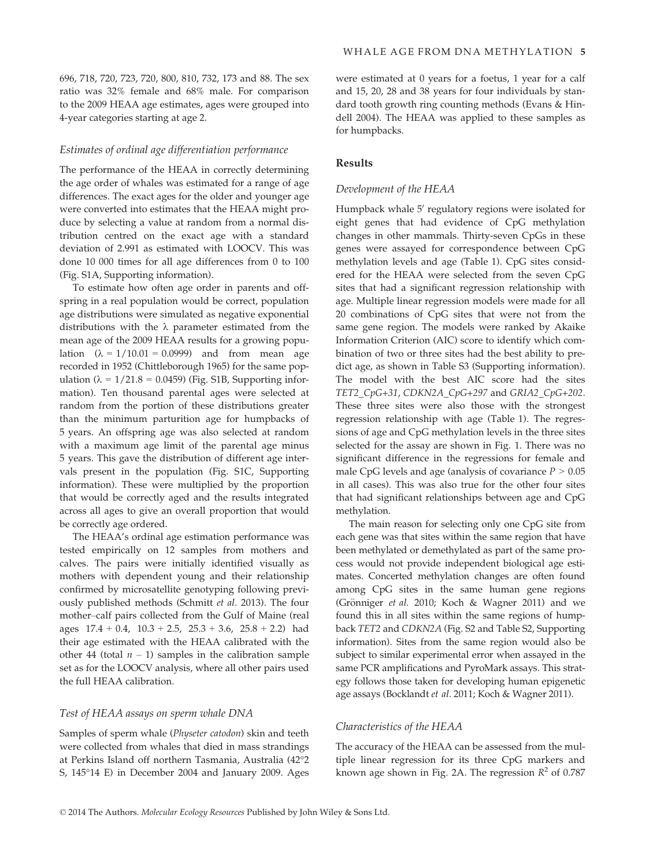696, 718, 720, 723, 720, 800, 810, 732, 173 and 88. The sex ratio was 32% female and 68% male. For comparison to the 2009 HEAA age estimates, ages were grouped into 4-year categories starting at age 2.

#### Estimates of ordinal age differentiation performance

The performance of the HEAA in correctly determining the age order of whales was estimated for a range of age differences. The exact ages for the older and younger age were converted into estimates that the HEAA might produce by selecting a value at random from a normal distribution centred on the exact age with a standard deviation of 2.991 as estimated with LOOCV. This was done 10 000 times for all age differences from 0 to 100 (Fig. S1A, Supporting information).

To estimate how often age order in parents and offspring in a real population would be correct, population age distributions were simulated as negative exponential distributions with the  $\lambda$  parameter estimated from the mean age of the 2009 HEAA results for a growing population  $(\lambda = 1/10.01 = 0.0999)$  and from mean age recorded in 1952 (Chittleborough 1965) for the same population ( $\lambda = 1/21.8 = 0.0459$ ) (Fig. S1B, Supporting information). Ten thousand parental ages were selected at random from the portion of these distributions greater than the minimum parturition age for humpbacks of 5 years. An offspring age was also selected at random with a maximum age limit of the parental age minus 5 years. This gave the distribution of different age intervals present in the population (Fig. S1C, Supporting information). These were multiplied by the proportion that would be correctly aged and the results integrated across all ages to give an overall proportion that would be correctly age ordered.

The HEAA's ordinal age estimation performance was tested empirically on 12 samples from mothers and calves. The pairs were initially identified visually as mothers with dependent young and their relationship confirmed by microsatellite genotyping following previously published methods (Schmitt et al. 2013). The four mother–calf pairs collected from the Gulf of Maine (real ages  $17.4 + 0.4$ ,  $10.3 + 2.5$ ,  $25.3 + 3.6$ ,  $25.8 + 2.2$ ) had their age estimated with the HEAA calibrated with the other 44 (total  $n - 1$ ) samples in the calibration sample set as for the LOOCV analysis, where all other pairs used the full HEAA calibration.

#### Test of HEAA assays on sperm whale DNA

Samples of sperm whale (Physeter catodon) skin and teeth were collected from whales that died in mass strandings at Perkins Island off northern Tasmania, Australia (42°2 S, 145°14 E) in December 2004 and January 2009. Ages were estimated at 0 years for a foetus, 1 year for a calf and 15, 20, 28 and 38 years for four individuals by standard tooth growth ring counting methods (Evans & Hindell 2004). The HEAA was applied to these samples as for humpbacks.

#### Results

#### Development of the HEAA

Humpback whale 5' regulatory regions were isolated for eight genes that had evidence of CpG methylation changes in other mammals. Thirty-seven CpGs in these genes were assayed for correspondence between CpG methylation levels and age (Table 1). CpG sites considered for the HEAA were selected from the seven CpG sites that had a significant regression relationship with age. Multiple linear regression models were made for all 20 combinations of CpG sites that were not from the same gene region. The models were ranked by Akaike Information Criterion (AIC) score to identify which combination of two or three sites had the best ability to predict age, as shown in Table S3 (Supporting information). The model with the best AIC score had the sites TET2\_CpG+31, CDKN2A\_CpG+297 and GRIA2\_CpG+202. These three sites were also those with the strongest regression relationship with age (Table 1). The regressions of age and CpG methylation levels in the three sites selected for the assay are shown in Fig. 1. There was no significant difference in the regressions for female and male CpG levels and age (analysis of covariance  $P > 0.05$ in all cases). This was also true for the other four sites that had significant relationships between age and CpG methylation.

The main reason for selecting only one CpG site from each gene was that sites within the same region that have been methylated or demethylated as part of the same process would not provide independent biological age estimates. Concerted methylation changes are often found among CpG sites in the same human gene regions (Grönniger et al. 2010; Koch & Wagner 2011) and we found this in all sites within the same regions of humpback TET2 and CDKN2A (Fig. S2 and Table S2, Supporting information). Sites from the same region would also be subject to similar experimental error when assayed in the same PCR amplifications and PyroMark assays. This strategy follows those taken for developing human epigenetic age assays (Bocklandt et al. 2011; Koch & Wagner 2011).

#### Characteristics of the HEAA

The accuracy of the HEAA can be assessed from the multiple linear regression for its three CpG markers and known age shown in Fig. 2A. The regression  $R^2$  of 0.787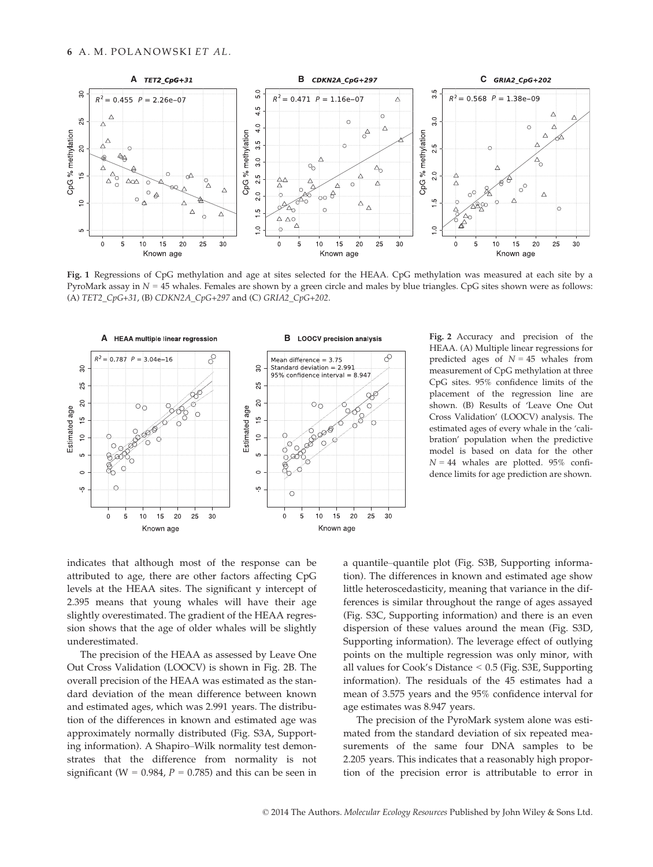

Fig. 1 Regressions of CpG methylation and age at sites selected for the HEAA. CpG methylation was measured at each site by a PyroMark assay in  $N = 45$  whales. Females are shown by a green circle and males by blue triangles. CpG sites shown were as follows: (A) TET2\_CpG+31, (B) CDKN2A\_CpG+297 and (C) GRIA2\_CpG+202.



Fig. 2 Accuracy and precision of the HEAA. (A) Multiple linear regressions for predicted ages of  $N = 45$  whales from measurement of CpG methylation at three CpG sites. 95% confidence limits of the placement of the regression line are shown. (B) Results of 'Leave One Out Cross Validation' (LOOCV) analysis. The estimated ages of every whale in the 'calibration' population when the predictive model is based on data for the other  $N = 44$  whales are plotted. 95% confidence limits for age prediction are shown.

indicates that although most of the response can be attributed to age, there are other factors affecting CpG levels at the HEAA sites. The significant y intercept of 2.395 means that young whales will have their age slightly overestimated. The gradient of the HEAA regression shows that the age of older whales will be slightly underestimated.

The precision of the HEAA as assessed by Leave One Out Cross Validation (LOOCV) is shown in Fig. 2B. The overall precision of the HEAA was estimated as the standard deviation of the mean difference between known and estimated ages, which was 2.991 years. The distribution of the differences in known and estimated age was approximately normally distributed (Fig. S3A, Supporting information). A Shapiro–Wilk normality test demonstrates that the difference from normality is not significant (W =  $0.984$ , P =  $0.785$ ) and this can be seen in a quantile–quantile plot (Fig. S3B, Supporting information). The differences in known and estimated age show little heteroscedasticity, meaning that variance in the differences is similar throughout the range of ages assayed (Fig. S3C, Supporting information) and there is an even dispersion of these values around the mean (Fig. S3D, Supporting information). The leverage effect of outlying points on the multiple regression was only minor, with all values for Cook's Distance < 0.5 (Fig. S3E, Supporting information). The residuals of the 45 estimates had a mean of 3.575 years and the 95% confidence interval for age estimates was 8.947 years.

The precision of the PyroMark system alone was estimated from the standard deviation of six repeated measurements of the same four DNA samples to be 2.205 years. This indicates that a reasonably high proportion of the precision error is attributable to error in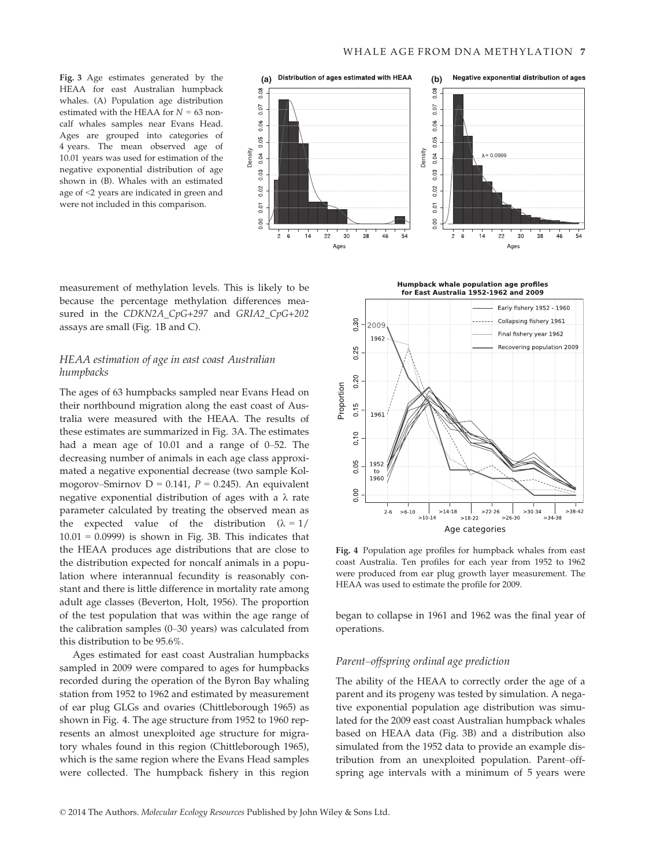HEAA for east Australian humpback whales. (A) Population age distribution estimated with the HEAA for  $N = 63$  noncalf whales samples near Evans Head. Ages are grouped into categories of 4 years. The mean observed age of 10.01 years was used for estimation of the negative exponential distribution of age shown in (B). Whales with an estimated age of <2 years are indicated in green and were not included in this comparison.



measurement of methylation levels. This is likely to be because the percentage methylation differences measured in the CDKN2A\_CpG+297 and GRIA2\_CpG+202 assays are small (Fig. 1B and C).

## HEAA estimation of age in east coast Australian humpbacks

The ages of 63 humpbacks sampled near Evans Head on their northbound migration along the east coast of Australia were measured with the HEAA. The results of these estimates are summarized in Fig. 3A. The estimates had a mean age of 10.01 and a range of 0–52. The decreasing number of animals in each age class approximated a negative exponential decrease (two sample Kolmogorov–Smirnov D = 0.141,  $P = 0.245$ ). An equivalent negative exponential distribution of ages with a  $\lambda$  rate parameter calculated by treating the observed mean as the expected value of the distribution  $(\lambda = 1)$  $10.01 = 0.0999$ ) is shown in Fig. 3B. This indicates that the HEAA produces age distributions that are close to the distribution expected for noncalf animals in a population where interannual fecundity is reasonably constant and there is little difference in mortality rate among adult age classes (Beverton, Holt, 1956). The proportion of the test population that was within the age range of the calibration samples (0–30 years) was calculated from this distribution to be 95.6%.

Ages estimated for east coast Australian humpbacks sampled in 2009 were compared to ages for humpbacks recorded during the operation of the Byron Bay whaling station from 1952 to 1962 and estimated by measurement of ear plug GLGs and ovaries (Chittleborough 1965) as shown in Fig. 4. The age structure from 1952 to 1960 represents an almost unexploited age structure for migratory whales found in this region (Chittleborough 1965), which is the same region where the Evans Head samples were collected. The humpback fishery in this region

**Humpback whale population age profiles** for East Australia 1952-1962 and 2009



Fig. 4 Population age profiles for humpback whales from east coast Australia. Ten profiles for each year from 1952 to 1962 were produced from ear plug growth layer measurement. The HEAA was used to estimate the profile for 2009.

began to collapse in 1961 and 1962 was the final year of operations.

#### Parent–offspring ordinal age prediction

The ability of the HEAA to correctly order the age of a parent and its progeny was tested by simulation. A negative exponential population age distribution was simulated for the 2009 east coast Australian humpback whales based on HEAA data (Fig. 3B) and a distribution also simulated from the 1952 data to provide an example distribution from an unexploited population. Parent–offspring age intervals with a minimum of 5 years were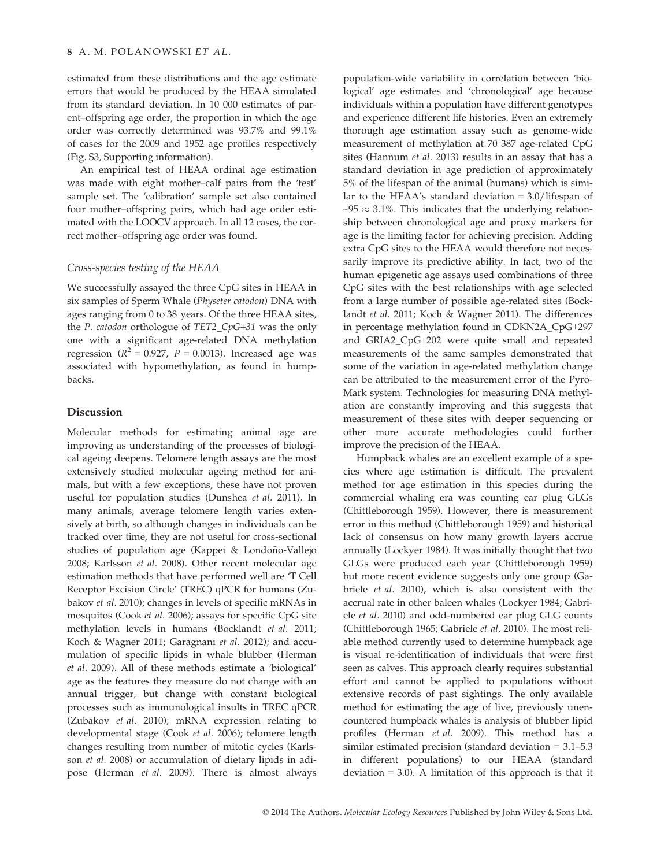estimated from these distributions and the age estimate errors that would be produced by the HEAA simulated from its standard deviation. In 10 000 estimates of parent–offspring age order, the proportion in which the age order was correctly determined was 93.7% and 99.1% of cases for the 2009 and 1952 age profiles respectively (Fig. S3, Supporting information).

An empirical test of HEAA ordinal age estimation was made with eight mother–calf pairs from the 'test' sample set. The 'calibration' sample set also contained four mother–offspring pairs, which had age order estimated with the LOOCV approach. In all 12 cases, the correct mother–offspring age order was found.

### Cross-species testing of the HEAA

We successfully assayed the three CpG sites in HEAA in six samples of Sperm Whale (Physeter catodon) DNA with ages ranging from 0 to 38 years. Of the three HEAA sites, the P. catodon orthologue of TET2\_CpG+31 was the only one with a significant age-related DNA methylation regression ( $R^2 = 0.927$ ,  $P = 0.0013$ ). Increased age was associated with hypomethylation, as found in humpbacks.

#### Discussion

Molecular methods for estimating animal age are improving as understanding of the processes of biological ageing deepens. Telomere length assays are the most extensively studied molecular ageing method for animals, but with a few exceptions, these have not proven useful for population studies (Dunshea et al. 2011). In many animals, average telomere length varies extensively at birth, so although changes in individuals can be tracked over time, they are not useful for cross-sectional studies of population age (Kappei & Londoño-Vallejo 2008; Karlsson et al. 2008). Other recent molecular age estimation methods that have performed well are 'T Cell Receptor Excision Circle' (TREC) qPCR for humans (Zubakov et al. 2010); changes in levels of specific mRNAs in mosquitos (Cook et al. 2006); assays for specific CpG site methylation levels in humans (Bocklandt et al. 2011; Koch & Wagner 2011; Garagnani et al. 2012); and accumulation of specific lipids in whale blubber (Herman et al. 2009). All of these methods estimate a 'biological' age as the features they measure do not change with an annual trigger, but change with constant biological processes such as immunological insults in TREC qPCR (Zubakov et al. 2010); mRNA expression relating to developmental stage (Cook et al. 2006); telomere length changes resulting from number of mitotic cycles (Karlsson et al. 2008) or accumulation of dietary lipids in adipose (Herman et al. 2009). There is almost always

population-wide variability in correlation between 'biological' age estimates and 'chronological' age because individuals within a population have different genotypes and experience different life histories. Even an extremely thorough age estimation assay such as genome-wide measurement of methylation at 70 387 age-related CpG sites (Hannum et al. 2013) results in an assay that has a standard deviation in age prediction of approximately 5% of the lifespan of the animal (humans) which is similar to the HEAA's standard deviation = 3.0/lifespan of  $\sim$ 95  $\approx$  3.1%. This indicates that the underlying relationship between chronological age and proxy markers for age is the limiting factor for achieving precision. Adding extra CpG sites to the HEAA would therefore not necessarily improve its predictive ability. In fact, two of the human epigenetic age assays used combinations of three CpG sites with the best relationships with age selected from a large number of possible age-related sites (Bocklandt et al. 2011; Koch & Wagner 2011). The differences in percentage methylation found in CDKN2A\_CpG+297 and GRIA2\_CpG+202 were quite small and repeated measurements of the same samples demonstrated that some of the variation in age-related methylation change can be attributed to the measurement error of the Pyro-Mark system. Technologies for measuring DNA methylation are constantly improving and this suggests that measurement of these sites with deeper sequencing or other more accurate methodologies could further improve the precision of the HEAA.

Humpback whales are an excellent example of a species where age estimation is difficult. The prevalent method for age estimation in this species during the commercial whaling era was counting ear plug GLGs (Chittleborough 1959). However, there is measurement error in this method (Chittleborough 1959) and historical lack of consensus on how many growth layers accrue annually (Lockyer 1984). It was initially thought that two GLGs were produced each year (Chittleborough 1959) but more recent evidence suggests only one group (Gabriele et al. 2010), which is also consistent with the accrual rate in other baleen whales (Lockyer 1984; Gabriele et al. 2010) and odd-numbered ear plug GLG counts (Chittleborough 1965; Gabriele et al. 2010). The most reliable method currently used to determine humpback age is visual re-identification of individuals that were first seen as calves. This approach clearly requires substantial effort and cannot be applied to populations without extensive records of past sightings. The only available method for estimating the age of live, previously unencountered humpback whales is analysis of blubber lipid profiles (Herman et al. 2009). This method has a similar estimated precision (standard deviation = 3.1–5.3 in different populations) to our HEAA (standard deviation  $= 3.0$ ). A limitation of this approach is that it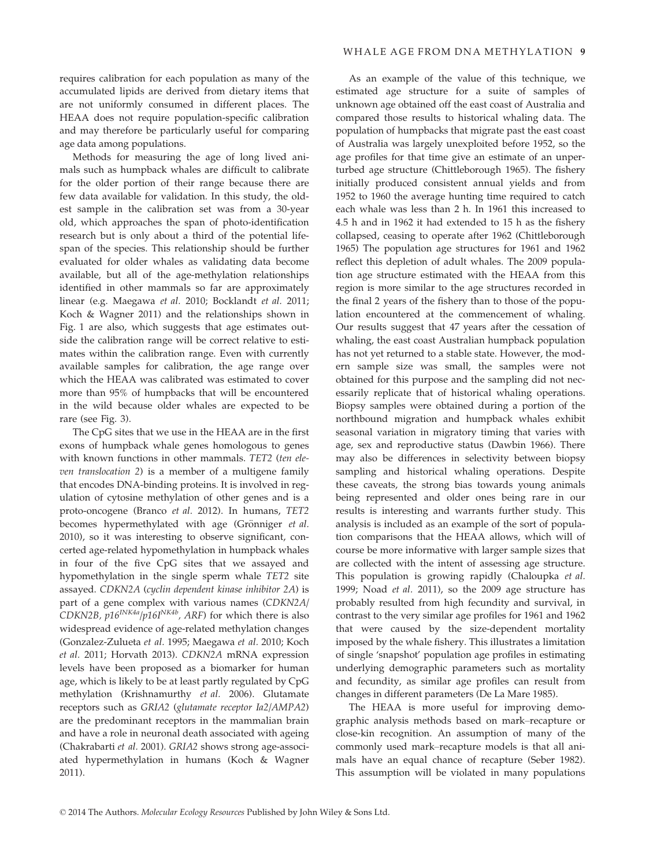Methods for measuring the age of long lived animals such as humpback whales are difficult to calibrate for the older portion of their range because there are few data available for validation. In this study, the oldest sample in the calibration set was from a 30-year old, which approaches the span of photo-identification research but is only about a third of the potential lifespan of the species. This relationship should be further evaluated for older whales as validating data become available, but all of the age-methylation relationships identified in other mammals so far are approximately linear (e.g. Maegawa et al. 2010; Bocklandt et al. 2011; Koch & Wagner 2011) and the relationships shown in Fig. 1 are also, which suggests that age estimates outside the calibration range will be correct relative to estimates within the calibration range. Even with currently available samples for calibration, the age range over which the HEAA was calibrated was estimated to cover more than 95% of humpbacks that will be encountered in the wild because older whales are expected to be rare (see Fig. 3).

The CpG sites that we use in the HEAA are in the first exons of humpback whale genes homologous to genes with known functions in other mammals. TET2 (ten eleven translocation 2) is a member of a multigene family that encodes DNA-binding proteins. It is involved in regulation of cytosine methylation of other genes and is a proto-oncogene (Branco et al. 2012). In humans, TET2 becomes hypermethylated with age (Grönniger et al. 2010), so it was interesting to observe significant, concerted age-related hypomethylation in humpback whales in four of the five CpG sites that we assayed and hypomethylation in the single sperm whale TET2 site assayed. CDKN2A (cyclin dependent kinase inhibitor 2A) is part of a gene complex with various names (CDKN2A/ CDKN2B,  $p16^{INK4a}/p16I^{NK4b}$ , ARF) for which there is also widespread evidence of age-related methylation changes (Gonzalez-Zulueta et al. 1995; Maegawa et al. 2010; Koch et al. 2011; Horvath 2013). CDKN2A mRNA expression levels have been proposed as a biomarker for human age, which is likely to be at least partly regulated by CpG methylation (Krishnamurthy et al. 2006). Glutamate receptors such as GRIA2 (glutamate receptor Ia2/AMPA2) are the predominant receptors in the mammalian brain and have a role in neuronal death associated with ageing (Chakrabarti et al. 2001). GRIA2 shows strong age-associated hypermethylation in humans (Koch & Wagner 2011).

As an example of the value of this technique, we estimated age structure for a suite of samples of unknown age obtained off the east coast of Australia and compared those results to historical whaling data. The population of humpbacks that migrate past the east coast of Australia was largely unexploited before 1952, so the age profiles for that time give an estimate of an unperturbed age structure (Chittleborough 1965). The fishery initially produced consistent annual yields and from 1952 to 1960 the average hunting time required to catch each whale was less than 2 h. In 1961 this increased to 4.5 h and in 1962 it had extended to 15 h as the fishery collapsed, ceasing to operate after 1962 (Chittleborough 1965) The population age structures for 1961 and 1962 reflect this depletion of adult whales. The 2009 population age structure estimated with the HEAA from this region is more similar to the age structures recorded in the final 2 years of the fishery than to those of the population encountered at the commencement of whaling. Our results suggest that 47 years after the cessation of whaling, the east coast Australian humpback population has not yet returned to a stable state. However, the modern sample size was small, the samples were not obtained for this purpose and the sampling did not necessarily replicate that of historical whaling operations. Biopsy samples were obtained during a portion of the northbound migration and humpback whales exhibit seasonal variation in migratory timing that varies with age, sex and reproductive status (Dawbin 1966). There may also be differences in selectivity between biopsy sampling and historical whaling operations. Despite these caveats, the strong bias towards young animals being represented and older ones being rare in our results is interesting and warrants further study. This analysis is included as an example of the sort of population comparisons that the HEAA allows, which will of course be more informative with larger sample sizes that are collected with the intent of assessing age structure. This population is growing rapidly (Chaloupka et al. 1999; Noad et al. 2011), so the 2009 age structure has probably resulted from high fecundity and survival, in contrast to the very similar age profiles for 1961 and 1962 that were caused by the size-dependent mortality imposed by the whale fishery. This illustrates a limitation of single 'snapshot' population age profiles in estimating underlying demographic parameters such as mortality and fecundity, as similar age profiles can result from changes in different parameters (De La Mare 1985).

The HEAA is more useful for improving demographic analysis methods based on mark–recapture or close-kin recognition. An assumption of many of the commonly used mark–recapture models is that all animals have an equal chance of recapture (Seber 1982). This assumption will be violated in many populations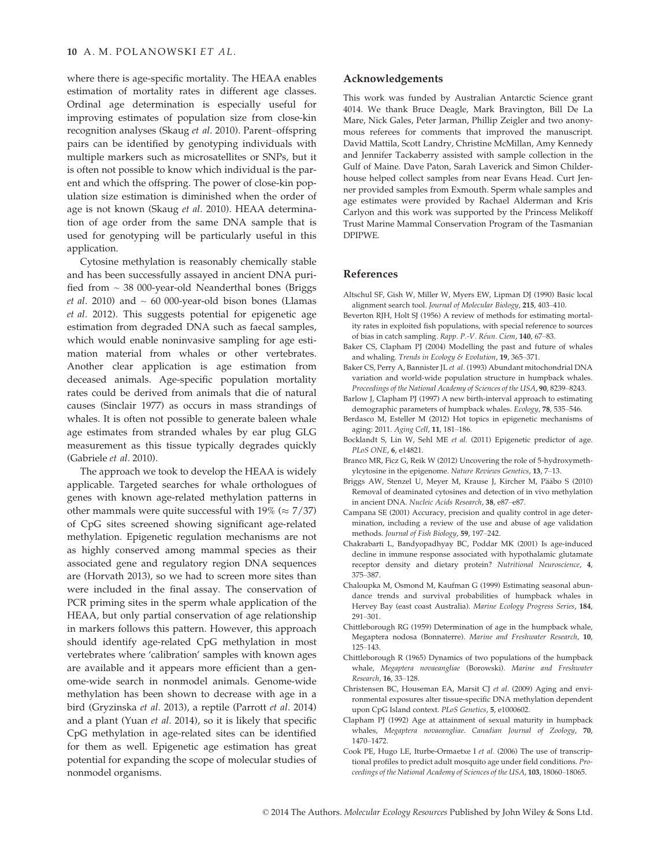where there is age-specific mortality. The HEAA enables estimation of mortality rates in different age classes. Ordinal age determination is especially useful for improving estimates of population size from close-kin recognition analyses (Skaug et al. 2010). Parent–offspring pairs can be identified by genotyping individuals with multiple markers such as microsatellites or SNPs, but it is often not possible to know which individual is the parent and which the offspring. The power of close-kin population size estimation is diminished when the order of age is not known (Skaug et al. 2010). HEAA determination of age order from the same DNA sample that is used for genotyping will be particularly useful in this application.

Cytosine methylation is reasonably chemically stable and has been successfully assayed in ancient DNA purified from  $\sim$  38 000-year-old Neanderthal bones (Briggs *et al.* 2010) and  $\sim$  60 000-year-old bison bones (Llamas et al. 2012). This suggests potential for epigenetic age estimation from degraded DNA such as faecal samples, which would enable noninvasive sampling for age estimation material from whales or other vertebrates. Another clear application is age estimation from deceased animals. Age-specific population mortality rates could be derived from animals that die of natural causes (Sinclair 1977) as occurs in mass strandings of whales. It is often not possible to generate baleen whale age estimates from stranded whales by ear plug GLG measurement as this tissue typically degrades quickly (Gabriele et al. 2010).

The approach we took to develop the HEAA is widely applicable. Targeted searches for whale orthologues of genes with known age-related methylation patterns in other mammals were quite successful with 19% ( $\approx$  7/37) of CpG sites screened showing significant age-related methylation. Epigenetic regulation mechanisms are not as highly conserved among mammal species as their associated gene and regulatory region DNA sequences are (Horvath 2013), so we had to screen more sites than were included in the final assay. The conservation of PCR priming sites in the sperm whale application of the HEAA, but only partial conservation of age relationship in markers follows this pattern. However, this approach should identify age-related CpG methylation in most vertebrates where 'calibration' samples with known ages are available and it appears more efficient than a genome-wide search in nonmodel animals. Genome-wide methylation has been shown to decrease with age in a bird (Gryzinska et al. 2013), a reptile (Parrott et al. 2014) and a plant (Yuan et al. 2014), so it is likely that specific CpG methylation in age-related sites can be identified for them as well. Epigenetic age estimation has great potential for expanding the scope of molecular studies of nonmodel organisms.

#### Acknowledgements

This work was funded by Australian Antarctic Science grant 4014. We thank Bruce Deagle, Mark Bravington, Bill De La Mare, Nick Gales, Peter Jarman, Phillip Zeigler and two anonymous referees for comments that improved the manuscript. David Mattila, Scott Landry, Christine McMillan, Amy Kennedy and Jennifer Tackaberry assisted with sample collection in the Gulf of Maine. Dave Paton, Sarah Laverick and Simon Childerhouse helped collect samples from near Evans Head. Curt Jenner provided samples from Exmouth. Sperm whale samples and age estimates were provided by Rachael Alderman and Kris Carlyon and this work was supported by the Princess Melikoff Trust Marine Mammal Conservation Program of the Tasmanian DPIPWE.

#### References

- Altschul SF, Gish W, Miller W, Myers EW, Lipman DJ (1990) Basic local alignment search tool. Journal of Molecular Biology, 215, 403–410.
- Beverton RJH, Holt SJ (1956) A review of methods for estimating mortality rates in exploited fish populations, with special reference to sources of bias in catch sampling. Rapp. P.-V. Réun. Ciem, 140, 67-83.
- Baker CS, Clapham PJ (2004) Modelling the past and future of whales and whaling. Trends in Ecology & Evolution, 19, 365-371.
- Baker CS, Perry A, Bannister JL et al. (1993) Abundant mitochondrial DNA variation and world-wide population structure in humpback whales. Proceedings of the National Academy of Sciences of the USA, 90, 8239–8243.
- Barlow J, Clapham PJ (1997) A new birth-interval approach to estimating demographic parameters of humpback whales. Ecology, 78, 535–546.
- Berdasco M, Esteller M (2012) Hot topics in epigenetic mechanisms of aging: 2011. Aging Cell, 11, 181–186.
- Bocklandt S, Lin W, Sehl ME et al. (2011) Epigenetic predictor of age. PLoS ONE, 6, e14821.
- Branco MR, Ficz G, Reik W (2012) Uncovering the role of 5-hydroxymethylcytosine in the epigenome. Nature Reviews Genetics, 13, 7–13.
- Briggs AW, Stenzel U, Meyer M, Krause J, Kircher M, Pääbo S (2010) Removal of deaminated cytosines and detection of in vivo methylation in ancient DNA. Nucleic Acids Research, 38, e87–e87.
- Campana SE (2001) Accuracy, precision and quality control in age determination, including a review of the use and abuse of age validation methods. Journal of Fish Biology, 59, 197–242.
- Chakrabarti L, Bandyopadhyay BC, Poddar MK (2001) Is age-induced decline in immune response associated with hypothalamic glutamate receptor density and dietary protein? Nutritional Neuroscience, 4, 375–387.
- Chaloupka M, Osmond M, Kaufman G (1999) Estimating seasonal abundance trends and survival probabilities of humpback whales in Hervey Bay (east coast Australia). Marine Ecology Progress Series, 184, 291–301.
- Chittleborough RG (1959) Determination of age in the humpback whale, Megaptera nodosa (Bonnaterre). Marine and Freshwater Research, 10, 125–143.
- Chittleborough R (1965) Dynamics of two populations of the humpback whale, Megaptera novaeangliae (Borowski). Marine and Freshwater Research, 16, 33–128.
- Christensen BC, Houseman EA, Marsit CJ et al. (2009) Aging and environmental exposures alter tissue-specific DNA methylation dependent upon CpG Island context. PLoS Genetics, 5, e1000602.
- Clapham PJ (1992) Age at attainment of sexual maturity in humpback whales, Megaptera novaeangliae. Canadian Journal of Zoology, 70, 1470–1472.
- Cook PE, Hugo LE, Iturbe-Ormaetxe I et al. (2006) The use of transcriptional profiles to predict adult mosquito age under field conditions. Proceedings of the National Academy of Sciences of the USA, 103, 18060–18065.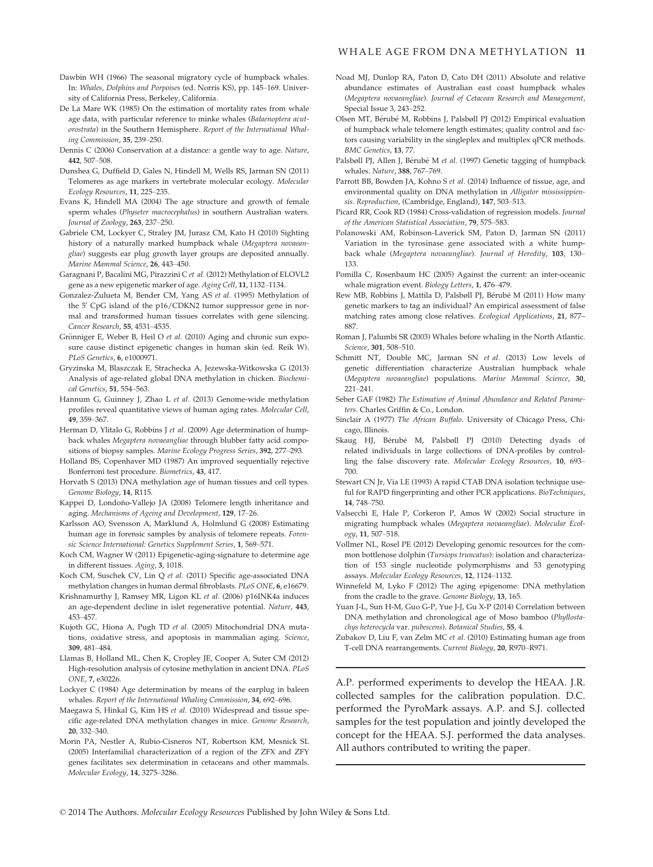- Dawbin WH (1966) The seasonal migratory cycle of humpback whales. In: Whales, Dolphins and Porpoises (ed. Norris KS), pp. 145–169. University of California Press, Berkeley, California.
- De La Mare WK (1985) On the estimation of mortality rates from whale age data, with particular reference to minke whales (Balaenoptera acutorostrata) in the Southern Hemisphere. Report of the International Whaling Commission, 35, 239–250.
- Dennis C (2006) Conservation at a distance: a gentle way to age. Nature, 442, 507–508.
- Dunshea G, Duffield D, Gales N, Hindell M, Wells RS, Jarman SN (2011) Telomeres as age markers in vertebrate molecular ecology. Molecular Ecology Resources, 11, 225–235.
- Evans K, Hindell MA (2004) The age structure and growth of female sperm whales (Physeter macrocephalus) in southern Australian waters. Journal of Zoology, 263, 237–250.
- Gabriele CM, Lockyer C, Straley JM, Jurasz CM, Kato H (2010) Sighting history of a naturally marked humpback whale (Megaptera novaeangliae) suggests ear plug growth layer groups are deposited annually. Marine Mammal Science, 26, 443–450.
- Garagnani P, Bacalini MG, Pirazzini C et al. (2012) Methylation of ELOVL2 gene as a new epigenetic marker of age. Aging Cell, 11, 1132–1134.
- Gonzalez-Zulueta M, Bender CM, Yang AS et al. (1995) Methylation of the 5' CpG island of the p16/CDKN2 tumor suppressor gene in normal and transformed human tissues correlates with gene silencing. Cancer Research, 55, 4531–4535.
- Grönniger E, Weber B, Heil O et al. (2010) Aging and chronic sun exposure cause distinct epigenetic changes in human skin (ed. Reik W). PLoS Genetics, 6, e1000971.
- Gryzinska M, Blaszczak E, Strachecka A, Jezewska-Witkowska G (2013) Analysis of age-related global DNA methylation in chicken. Biochemical Genetics, 51, 554–563.
- Hannum G, Guinney J, Zhao L et al. (2013) Genome-wide methylation profiles reveal quantitative views of human aging rates. Molecular Cell, 49, 359–367.
- Herman D, Ylitalo G, Robbins J et al. (2009) Age determination of humpback whales Megaptera novaeangliae through blubber fatty acid compositions of biopsy samples. Marine Ecology Progress Series, 392, 277–293.
- Holland BS, Copenhaver MD (1987) An improved sequentially rejective Bonferroni test procedure. Biometrics, 43, 417.
- Horvath S (2013) DNA methylation age of human tissues and cell types. Genome Biology, 14, R115.
- Kappei D, Londoño-Vallejo JA (2008) Telomere length inheritance and aging. Mechanisms of Ageing and Development, 129, 17–26.
- Karlsson AO, Svensson A, Marklund A, Holmlund G (2008) Estimating human age in forensic samples by analysis of telomere repeats. Forensic Science International: Genetics Supplement Series, 1, 569–571.
- Koch CM, Wagner W (2011) Epigenetic-aging-signature to determine age in different tissues. Aging, 3, 1018.
- Koch CM, Suschek CV, Lin Q et al. (2011) Specific age-associated DNA methylation changes in human dermal fibroblasts. PLoS ONE, 6, e16679.
- Krishnamurthy J, Ramsey MR, Ligon KL et al. (2006) p16INK4a induces an age-dependent decline in islet regenerative potential. Nature, 443, 453–457.
- Kujoth GC, Hiona A, Pugh TD et al. (2005) Mitochondrial DNA mutations, oxidative stress, and apoptosis in mammalian aging. Science, 309, 481–484.
- Llamas B, Holland ML, Chen K, Cropley JE, Cooper A, Suter CM (2012) High-resolution analysis of cytosine methylation in ancient DNA. PLoS ONE, 7, e30226.
- Lockyer C (1984) Age determination by means of the earplug in baleen whales. Report of the International Whaling Commission, 34, 692–696.
- Maegawa S, Hinkal G, Kim HS et al. (2010) Widespread and tissue specific age-related DNA methylation changes in mice. Genome Research, 20, 332–340.
- Morin PA, Nestler A, Rubio-Cisneros NT, Robertson KM, Mesnick SL (2005) Interfamilial characterization of a region of the ZFX and ZFY genes facilitates sex determination in cetaceans and other mammals. Molecular Ecology, 14, 3275–3286.
- Noad MJ, Dunlop RA, Paton D, Cato DH (2011) Absolute and relative abundance estimates of Australian east coast humpback whales (Megaptera novaeangliae). Journal of Cetacean Research and Management, Special Issue 3, 243–252.
- Olsen MT, Bérubé M, Robbins J, Palsbøll PJ (2012) Empirical evaluation of humpback whale telomere length estimates; quality control and factors causing variability in the singleplex and multiplex qPCR methods. BMC Genetics, 13, 77.
- Palsbøll PJ, Allen J, Bérubé M et al. (1997) Genetic tagging of humpback whales. Nature, 388, 767–769.
- Parrott BB, Bowden JA, Kohno S et al. (2014) Influence of tissue, age, and environmental quality on DNA methylation in Alligator mississippiensis. Reproduction, (Cambridge, England), 147, 503–513.
- Picard RR, Cook RD (1984) Cross-validation of regression models. Journal of the American Statistical Association, 79, 575–583.
- Polanowski AM, Robinson-Laverick SM, Paton D, Jarman SN (2011) Variation in the tyrosinase gene associated with a white humpback whale (Megaptera novaeangliae). Journal of Heredity, 103, 130– 133.
- Pomilla C, Rosenbaum HC (2005) Against the current: an inter-oceanic whale migration event. Biology Letters, 1, 476–479.
- Rew MB, Robbins J, Mattila D, Palsbøll PJ, Bérubé M (2011) How many genetic markers to tag an individual? An empirical assessment of false matching rates among close relatives. Ecological Applications, 21, 877– 887.
- Roman J, Palumbi SR (2003) Whales before whaling in the North Atlantic. Science, 301, 508–510.
- Schmitt NT, Double MC, Jarman SN et al. (2013) Low levels of genetic differentiation characterize Australian humpback whale (Megaptera novaeangliae) populations. Marine Mammal Science, 30, 221–241.
- Seber GAF (1982) The Estimation of Animal Abundance and Related Parameters. Charles Griffin & Co., London.
- Sinclair A (1977) The African Buffalo. University of Chicago Press, Chicago, Illinois.
- Skaug HJ, Bérubé M, Palsbøll PJ (2010) Detecting dyads of related individuals in large collections of DNA-profiles by controlling the false discovery rate. Molecular Ecology Resources, 10, 693– 700.
- Stewart CN Jr, Via LE (1993) A rapid CTAB DNA isolation technique useful for RAPD fingerprinting and other PCR applications. BioTechniques, 14, 748–750.
- Valsecchi E, Hale P, Corkeron P, Amos W (2002) Social structure in migrating humpback whales (Megaptera novaeangliae). Molecular Ecology, 11, 507–518.
- Vollmer NL, Rosel PE (2012) Developing genomic resources for the common bottlenose dolphin (Tursiops truncatus): isolation and characterization of 153 single nucleotide polymorphisms and 53 genotyping assays. Molecular Ecology Resources, 12, 1124–1132.
- Winnefeld M, Lyko F (2012) The aging epigenome: DNA methylation from the cradle to the grave. Genome Biology, 13, 165.
- Yuan J-L, Sun H-M, Guo G-P, Yue J-J, Gu X-P (2014) Correlation between DNA methylation and chronological age of Moso bamboo (Phyllostachys heterocycla var. pubescens). Botanical Studies, 55, 4.
- Zubakov D, Liu F, van Zelm MC et al. (2010) Estimating human age from T-cell DNA rearrangements. Current Biology, 20, R970–R971.

A.P. performed experiments to develop the HEAA. J.R. collected samples for the calibration population. D.C. performed the PyroMark assays. A.P. and S.J. collected samples for the test population and jointly developed the concept for the HEAA. S.J. performed the data analyses. All authors contributed to writing the paper.